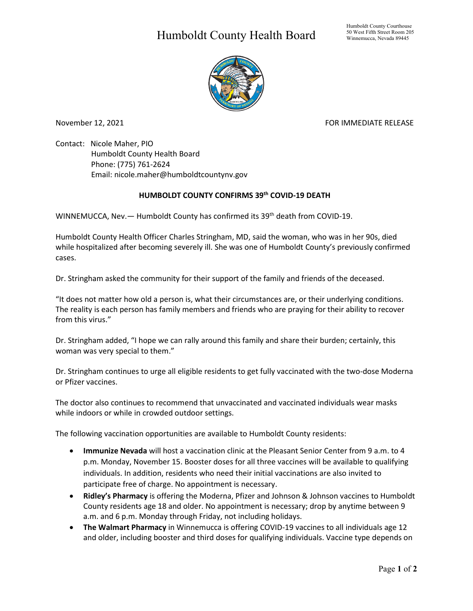## Humboldt County Health Board



November 12, 2021 **FOR IMMEDIATE RELEASE** 

Contact: Nicole Maher, PIO Humboldt County Health Board Phone: (775) 761-2624 Email: nicole.maher@humboldtcountynv.gov

## **HUMBOLDT COUNTY CONFIRMS 39th COVID-19 DEATH**

WINNEMUCCA, Nev. - Humboldt County has confirmed its 39<sup>th</sup> death from COVID-19.

Humboldt County Health Officer Charles Stringham, MD, said the woman, who was in her 90s, died while hospitalized after becoming severely ill. She was one of Humboldt County's previously confirmed cases.

Dr. Stringham asked the community for their support of the family and friends of the deceased.

"It does not matter how old a person is, what their circumstances are, or their underlying conditions. The reality is each person has family members and friends who are praying for their ability to recover from this virus."

Dr. Stringham added, "I hope we can rally around this family and share their burden; certainly, this woman was very special to them."

Dr. Stringham continues to urge all eligible residents to get fully vaccinated with the two-dose Moderna or Pfizer vaccines.

The doctor also continues to recommend that unvaccinated and vaccinated individuals wear masks while indoors or while in crowded outdoor settings.

The following vaccination opportunities are available to Humboldt County residents:

- **Immunize Nevada** will host a vaccination clinic at the Pleasant Senior Center from 9 a.m. to 4 p.m. Monday, November 15. Booster doses for all three vaccines will be available to qualifying individuals. In addition, residents who need their initial vaccinations are also invited to participate free of charge. No appointment is necessary.
- **Ridley's Pharmacy** is offering the Moderna, Pfizer and Johnson & Johnson vaccines to Humboldt County residents age 18 and older. No appointment is necessary; drop by anytime between 9 a.m. and 6 p.m. Monday through Friday, not including holidays.
- **The Walmart Pharmacy** in Winnemucca is offering COVID-19 vaccines to all individuals age 12 and older, including booster and third doses for qualifying individuals. Vaccine type depends on